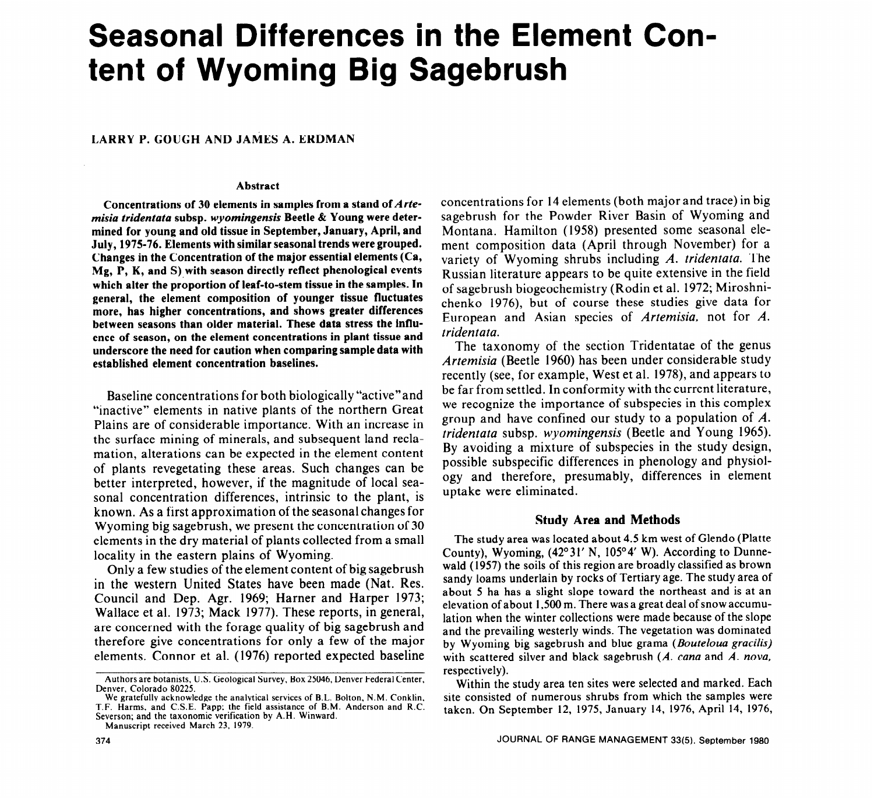# **Seasonal Differences in the Element Content of Wyoming Big Sagebrush**

### **LARRY P. GOUGH AND JAMES A. ERDMAN**

#### **Abstract**

**Concentrations of 30 elements in samples from a stand of Arte***misia tridentata* **subsp.** *wyomingensis* **Beetle & Young were determined for young and old tissue in September, January, April, and July, 1975-76. Elements with similar seasonal trends were grouped. Changes in the Concentration of the major essential elements (Ca, Mg, P, K, and S) with season directly reflect phenological events which alter the proportion of leaf-to-stem tissue in the samples. In general, the element composition of younger tissue fluctuates more, has higher concentrations, and shows greater differences between seasons than older material. These data stress the influence of season, on the element concentrations in plant tissue and underscore the need for caution when comparing sample data with established element concentration baselines.** 

Baseline concentrations for both biologically "active"and "inactive" elements in native plants of the northern Great Plains are of considerable importance. With an increase in the surface mining of minerals, and subsequent land reclamation, alterations can be expected in the element content of plants revegetating these areas. Such changes can be better interpreted, however, if the magnitude of local seasonal concentration differences, intrinsic to the plant, is known. As a first approximation of the seasonal changes for Wyoming big sagebrush, we present the concentration of 30 elements in the dry material of plants collected from a small locality in the eastern plains of Wyoming.

Only a few studies of the element content of big sagebrush in the western United States have been made (Nat. Res. Council and Dep. Agr. 1969; Harner and Harper 1973; Wallace et al. 1973; Mack 1977). These reports, in general, are concerned with the forage quality of big sagebrush and therefore give concentrations for only a few of the major elements. Connor et al. (1976) reported expected baseline concentrations for 14 elements (both major and trace) in big sagebrush for the Powder River Basin of Wyoming and Montana. Hamilton (1958) presented some seasonal element composition data (April through November) for a variety of Wyoming shrubs including A. *tridentata.* The Russian literature appears to be quite extensive in the field of sagebrush biogeochemistry (Rodin et al. 1972; Miroshnichenko 1976), but of course these studies give data for European and Asian species of *Artemisia,* not for *A. tridentata.* 

The taxonomy of the section Tridentatae of the genus *Artemisia* (Beetle 1960) has been under considerable study recently (see, for example, West et al. 1978), and appears to be far from settled. In conformity with the current literature, we recognize the importance of subspecies in this complex group and have confined our study to a population of *A. tridentata* subsp. *wyomingensis* (Beetle and Young 1965). By avoiding a mixture of subspecies in the study design, possible subspecific differences in phenology and physiology and therefore, presumably, differences in element uptake were eliminated.

### **Study Area and Methods**

The study area was located about 4.5 km west of Glendo (Platte County), Wyoming,  $(42^{\circ}31' \text{ N}, 105^{\circ}4' \text{ W})$ . According to Dunnewald (1957) the soils of this region are broadly classified as brown sandy loams underlain by rocks of Tertiary age. The study area of about 5 ha has a slight slope toward the northeast and is at an elevation of about 1,500 m. There was a great deal of snow accumulation when the winter collections were made because of the slope and the prevailing westerly winds. The vegetation was dominated by Wyoming big sagebrush and blue grama *(Bouteloua gracilis)*  with scattered silver and black sagebrush (A. *cana* and A. *nova,*  respectively).

Within the study area ten sites were selected and marked. Each site consisted of numerous shrubs from which the samples were taken. On September 12, 1975, January 14, 1976, April 14, 1976,

Authors are botanists, U.S. Geological Survey, Box 25046, Denver Federal Center, Denver, Colorado 80225.

We gratefully acknowledge the analytical services of B.L. Bolton, N.M. Conklin, T.F. Harms, and C.S.E. Papp; the field assistance of B.M. Anderson and R.C. Severson; and the taxonomic verification by A.H. Winward.

Manuscript received March 23, 1979.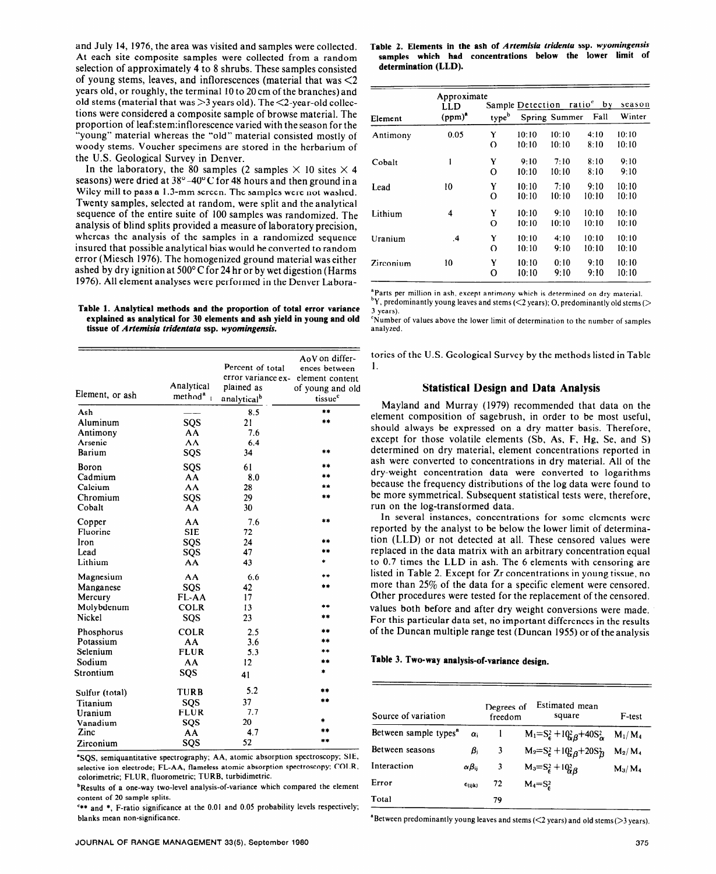and July 14, 1976, the area was visited and samples were collected. At each site composite samples were collected from a random selection of approximately 4 to 8 shrubs. These samples consisted of young stems, leaves, and inflorescences (material that was  $\leq 2$ years old, or roughly, the terminal 10 to 20 cm of the branches) and old stems (material that was  $>3$  years old). The  $<$ 2-year-old collections were considered a composite sample of browse material. The proportion of 1eaf:stem:inflorescence varied with the season for the "young" material whereas the "old" material consisted mostly of woody stems. Voucher specimens are stored in the herbarium of the U.S. Geological Survey in Denver.

In the laboratory, the 80 samples (2 samples  $\times$  10 sites  $\times$  4 seasons) were dried at  $38^{\circ}$  -40°C for 48 hours and then ground in a Wiley mill to pass a 1.3-mm screen. The samples were not washed. Twenty samples, selected at random, were split and the analytical sequence of the entire suite of 100 samples was randomized. The analysis of blind splits provided a measure of laboratory precision, whereas the analysis of the samples in a randomized sequence insured that possible analytical bias would be converted to random error (Miesch 1976). The homogenized ground material was either ashed by dry ignition at 500°C for 24 hr or by wet digestion (Harms 1976). All element analyses were performed in the Denver Labora-

#### **Table 1. Analytical methods and the proportion of total error variance explained as analytical for 30 elements and ash yield in young and old tissue of** *Artemisia tridentata* **ssp.** *wyomingensis.*

| Element, or ash | Analytical<br>method <sup>a</sup> | Percent of total<br>error variance ex-<br>plained as<br>analytical <sup>b</sup> | AoV on differ-<br>ences between<br>element content<br>of young and old<br>tissue <sup>c</sup> |
|-----------------|-----------------------------------|---------------------------------------------------------------------------------|-----------------------------------------------------------------------------------------------|
| Ash             |                                   | 8.5                                                                             | 本本                                                                                            |
| Aluminum        | sos                               | 21                                                                              | **                                                                                            |
| Antimony        | AA                                | 7.6                                                                             |                                                                                               |
| Arsenic         | AA                                | 6.4                                                                             |                                                                                               |
| Barium          | SQS                               | 34                                                                              | **                                                                                            |
| Boron           | SQS                               | 61                                                                              |                                                                                               |
| Cadmium         | AA                                | 8.0                                                                             |                                                                                               |
| Calcium         | AA                                | 28                                                                              |                                                                                               |
| Chromium        | SQS                               | 29                                                                              | de sé                                                                                         |
| Cobalt          | AA                                | 30                                                                              |                                                                                               |
| Copper          | AA                                | 7.6                                                                             | $\frac{1}{2}$                                                                                 |
| Fluorine        | <b>SIE</b>                        | 72                                                                              |                                                                                               |
| Iron            | SQS                               | 24                                                                              | sk sk                                                                                         |
| Lead            | SQS                               | 47                                                                              |                                                                                               |
| Lithium         | AA                                | 43                                                                              |                                                                                               |
| Magnesium       | AA                                | 6.6                                                                             |                                                                                               |
| Manganese       | SQS                               | 42                                                                              |                                                                                               |
| Mercury         | FL-AA                             | 17                                                                              |                                                                                               |
| Molybdenum      | <b>COLR</b>                       | 13                                                                              |                                                                                               |
| Nickel          | SQS                               | 23                                                                              | **                                                                                            |
| Phosphorus      | <b>COLR</b>                       | 2.5                                                                             | żż.                                                                                           |
| Potassium       | AA                                | 3.6                                                                             |                                                                                               |
| Selenium        | <b>FLUR</b>                       | 5.3                                                                             |                                                                                               |
| Sodium          | AA                                | 12                                                                              | ak ak                                                                                         |
| Strontium       | SQS                               | 41                                                                              | ż                                                                                             |
| Sulfur (total)  | <b>TURB</b>                       | 5.2                                                                             |                                                                                               |
| Titanium        | SQS                               | 37                                                                              | sk sk                                                                                         |
| Uranium         | <b>FLUR</b>                       | 7.7                                                                             |                                                                                               |
| Vanadium        | SQS                               | 20                                                                              |                                                                                               |
| Zinc            | AA                                | 4.7                                                                             |                                                                                               |
| Zirconium       | SQS                               | 52                                                                              |                                                                                               |
|                 |                                   |                                                                                 |                                                                                               |

"SQS, semiquantitative spectrography; AA, atomic absorption spectroscopy; SIE, selective ion electrode; FL-AA, flameless atomic absorption spectroscopy; COLR, calorimetric; FLUR, fluorometric; TURB, turbidimetric.

**bResults of a one-way two-level analysis-of-variance which compared the element** content of 20 sample splits.

'\*\* and \*, F-ratio significance at the 0.01 and 0.05 probability levels respectively; blanks mean non-significance.

|                      |  | Table 2. Elements in the ash of Artemisia tridenta ssp. wyomingensis |  |  |  |
|----------------------|--|----------------------------------------------------------------------|--|--|--|
|                      |  | samples which had concentrations below the lower limit of            |  |  |  |
| determination (LLD). |  |                                                                      |  |  |  |

|           | Approximate<br>LLD |                   | Sample Detection | ratio <sup>c</sup> | bv    | season |
|-----------|--------------------|-------------------|------------------|--------------------|-------|--------|
| Element   | $(ppm)^a$          | type <sup>b</sup> |                  | Spring Summer      | Fall  | Winter |
| Antimony  | 0.05               | Y                 | 10:10            | 10.10              | 4:10  | 10:10  |
|           |                    | O                 | 10:10            | 10:10              | 8:10  | 10:10  |
| Cobalt    | 1                  | Y                 | 9:10             | 7:10               | 8:10  | 9:10   |
|           |                    | O                 | 10:10            | 10:10              | 8:10  | 9:10   |
| Lead      | 10                 | Y                 | 10:10            | 7:10               | 9:10  | 10:10  |
|           |                    | O                 | 10:10            | 10:10              | 10:10 | 10:10  |
| Lithium   | 4                  | Y                 | 10:10            | 9:10               | 10:10 | 10:10  |
|           |                    | $\Omega$          | 10:10            | 10:10              | 10:10 | 10:10  |
| Uranium   | $\cdot$            | Y                 | 10:10            | 4:10               | 10:10 | 10:10  |
|           |                    | $\Omega$          | 10:10            | 9:10               | 10:10 | 10:10  |
| Zirconium | 10                 | Y                 | 10:10            | 0:10               | 9:10  | 10:10  |
|           |                    | о                 | 10:10            | 9:10               | 9:10  | 10:10  |

<sup>a</sup>Parts per million in ash, except antimony which is determined on dry material.  $\mathcal{P}Y$ , predominantly young leaves and stems (<2 years); O, predominantly old stems (>

3 years).

'Number of values above the lower limit of determination to the number of samples analyzed.

tories of the U.S. Geological Survey by the methods listed in Table 1.

# **Statistical Design and Data Analysis**

Mayland and Murray (1979) recommended that data on the element composition of sagebrush, in order to be most useful, should always be expressed on a dry matter basis. Therefore, except for those volatile elements (Sb, As, F, Hg, Se, and S) determined on dry material, element concentrations reported in ash were converted to concentrations in dry material. All of the dry-weight concentration data were converted to logarithms because the frequency distributions of the log data were found to be more symmetrical. Subsequent statistical tests were, therefore, run on the log-transformed data.

In several instances, concentrations for some elements were reported by the analyst to be below the lower limit of determination (LLD) or not detected at all. These censored values were replaced in the data matrix with an arbitrary concentration equal to 0.7 times the LLD in ash. The 6 elements with censoring are listed in Table 2. Except for Zr concentrations in young tissue, no more than 25% of the data for a specific element were censored. Other procedures were tested for the replacement of the censored. values both before and after dry weight conversions were made. For this particular data set, no important differences in the results of the Duncan multiple range test (Duncan 1955) or of the analysis

#### **Table 3. Two-way analysis-of-variance design.**

| Source of variation               |                    | Degrees of<br>freedom | Estimated mean<br>square                                   | F-test    |
|-----------------------------------|--------------------|-----------------------|------------------------------------------------------------|-----------|
| Between sample types <sup>a</sup> | $\alpha_i$         |                       | $M_1 = S_{\epsilon}^2 + 10_{\alpha}^2 B + 40 S_{\alpha}^2$ | $M_1/M_4$ |
| Between seasons                   | $\beta_i$          | 3                     | $M_2 = S_6^2 + 10^2 \cdot \cdot \cdot B_8$                 | $M_2/M_4$ |
| Interaction                       | $\alpha\beta_{ii}$ | 3                     | $M_3 = S^2_6 + 10^2_8$                                     | $M_3/M_4$ |
| Error                             | $\epsilon$ (ijk)   | 72                    | $M_4 = S_2^2$                                              |           |
| Total                             |                    | 79                    |                                                            |           |

 $^{\text{a}}$ Between predominantly young leaves and stems ( $<$ 2 years) and old stems ( $>$ 3 years).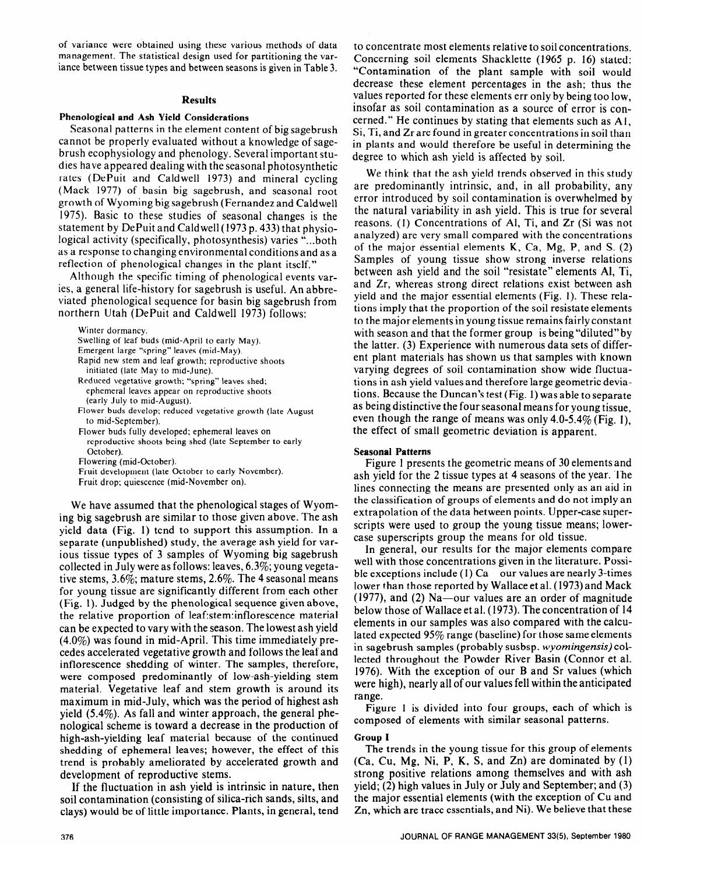of variance were obtained using these various methods of data management. The statistical design used for partitioning the variance between tissue types and between seasons is given in Table 3.

#### **Results**

### **Phenological and Ash Yield Considerations**

Seasonal patterns in the element content of big sagebrush cannot be properly evaluated without a knowledge of sagebrush ecophysiology and phenology. Several important studies have appeared dealing with the seasonal photosynthetic rates (DePuit and Caldwell 1973) and mineral cycling (Mack 1977) of basin big sagebrush, and seasonal root growth of Wyoming big sagebrush (Fernandez and Caldwell 1975). Basic to these studies of seasonal changes is the statement by DePuit and Caldwell (1973 p. 433) that physiological activity (specifically, photosynthesis) varies "...both as a response to changing environmental conditions and as a reflection of phenological changes in the plant itself."

Although the specific timing of phenological events varies, a general life-history for sagebrush is useful. An abbreviated phenological sequence for basin big sagebrush from northern Utah (DePuit and Caldwell 1973) follows:

Winter dormancy.

Swelling of leaf buds (mid-April to early May).

Emergent large "spring" leaves (mid-May).

Rapid new stem and leaf growth; reproductive shoots initiated (late May to mid-June).

Reduced vegetative growth; "spring" leaves shed; ephemeral leaves appear on reproductive shoots (early July to mid-August).

- Flower buds develop; reduced vegetative growth (late August to mid-September).
- Flower buds fully developed; ephemeral leaves on
- reproductive shoots being shed (late September to early October).

Flowering (mid-October).

Fruit development (late October to early November).

Fruit drop; quiescence (mid-November on).

We have assumed that the phenological stages of Wyoming big sagebrush are similar to those given above. The ash yield data (Fig. 1) tend to support this assumption. In a separate (unpublished) study, the average ash yield for various tissue types of 3 samples of Wyoming big sagebrush collected in July were as follows: leaves, 6.3%; young vegetative stems, 3.6%; mature stems, 2.6%. The 4 seasonal means for young tissue are significantly different from each other (Fig. 1). Judged by the phenological sequence given above, the relative proportion of 1eaf:stem:inflorescence material can be expected to vary with the season. The lowest ash yield (4.0%) was found in mid-April. This time immediately precedes accelerated vegetative growth and follows the leaf and inflorescence shedding of winter. The samples, therefore, were composed predominantly of low-ash-yielding stem material. Vegetative leaf and stem growth is around its maximum in mid-July, which was the period of highest ash yield (5.4%). As fall and winter approach, the general phenological scheme is toward a decrease in the production of high-ash-yielding leaf material because of the continued **Group I**  shedding of ephemeral leaves; however, the effect of this The trends in the young tissue for this group of elements trend is probably ameliorated by accelerated growth and (Ca, Cu, Mg, Ni, P, K, S, and Zn) are dominated by (1) development of reproductive stems. strong positive relations among themselves and with ash

soil contamination (consisting of silica-rich sands, silts, and the major essential elements (with the exception of Cu and clays) would be of little importance. Plants, in general, tend Zn, which are trace essentials, and Ni). We believe that these

to concentrate most elements relative to soil concentrations. Concerning soil elements Shacklette (1965 p. 16) stated: "Contamination of the plant sample with soil would decrease these element percentages in the ash; thus the values reported for these elements err only by being too low, insofar as soil contamination as a source of error is concerned." He continues by stating that elements such as Al, Si, Ti, and Zr are found in greater concentrations in soil than in plants and would therefore be useful in determining the degree to which ash yield is affected by soil.

We think that the ash yield trends observed in this study are predominantly intrinsic, and, in all probability, any error introduced by soil contamination is overwhelmed by the natural variability in ash yield. This is true for several reasons. (1) Concentrations of Al, Ti, and Zr (Si was not analyzed) are very small compared with the concentrations of the major essential elements  $K$ , Ca, Mg, P, and S. (2) Samples of young tissue show strong inverse relations between ash yield and the soil "resistate" elements Al, Ti, and Zr, whereas strong direct relations exist between ash yield and the major essential elements (Fig. 1). These relations imply that the proportion of the soil resistate elements to the major elements in young tissue remains fairly constant with season and that the former group is being "diluted" by the latter. (3) Experience with numerous data sets of different plant materials has shown us that samples with known varying degrees of soil contamination show wide fluctuations in ash yield values and therefore large geometric deviations. Because the Duncan's test (Fig. 1) was able to separate as being distinctive the four seasonal means for young tissue, even though the range of means was only 4.0-5.4% (Fig. 1), the effect of small geometric deviation is apparent.

#### **Seasonal Patterns**

Figure 1 presents the geometric means of 30 elements and ash yield for the 2 tissue types at 4 seasons of the year. The lines connecting the means are presented only as an aid in the classification of groups of elements and do not imply an extrapolation of the data between points. Upper-case superscripts were used to group the young tissue means; lowercase superscripts group the means for old tissue.

In general, our results for the major elements compare well with those concentrations given in the literature. Possible exceptions include (1)  $Ca$  our values are nearly 3-times lower than those reported by Wallace et al. (1973) and Mack  $(1977)$ , and  $(2)$  Na—our values are an order of magnitude below those of Wallace et al. (1973). The concentration of 14 elements in our samples was also compared with the calculated expected 95% range (baseline) for those same elements in sagebrush samples (probably susbsp. *wyomingensis) col*lected throughout the Powder River Basin (Connor et al. 1976). With the exception of our B and Sr values (which were high), nearly all of our values fell within the anticipated range.

Figure 1 is divided into four groups, each of which is composed of elements with similar seasonal patterns.

If the fluctuation in ash yield is intrinsic in nature, then yield; (2) high values in July or July and September; and (3)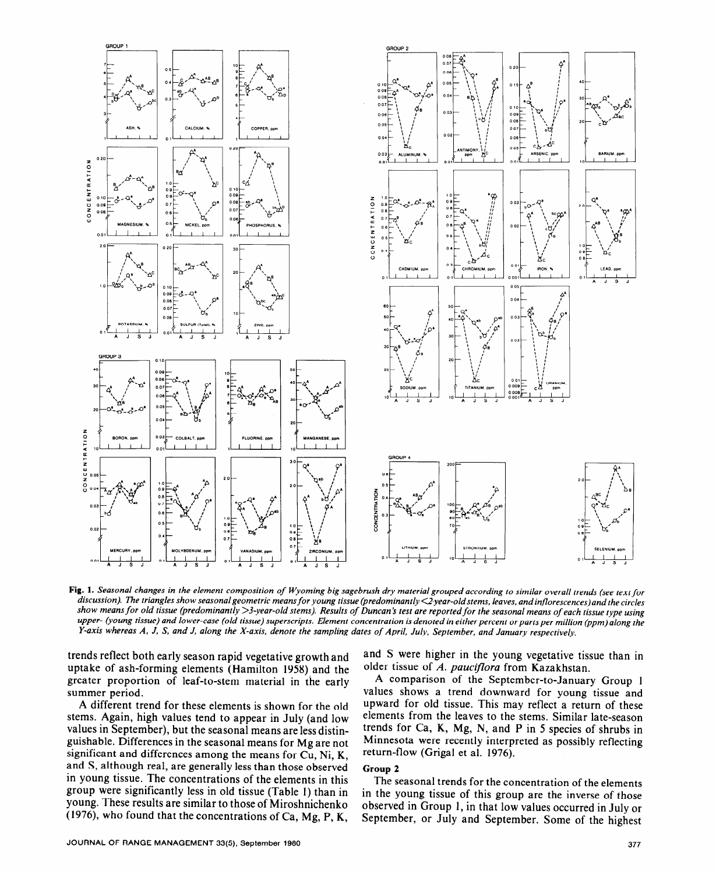

**Fig. 1.** *Seasonal changes in the element composition of Wyoming big sagebrush dry material grouped according to similar overall trends (see text for discussion). The triangles show seasonalgeometric means for young tissue (predominantly Gyear-old stems, leaves, and inflorescences)and the circles*  show means for old tissue (predominantly >3-year-old stems). Results of Duncan's test are reported for the seasonal means of each tissue type using upper- (young tissue) and lower-case (old tissue) superscripts. Element concentration is denoted in either percent or parts per million (ppm) along the *Y-axis whereas A, J, S, and J, along the X-axis, denote the sampling dates of April, July, September, and January respectively.* 

trends reflect both early season rapid vegetative growth and uptake of ash-forming elements (Hamilton 1958) and the greater proportion of leaf-to-stem material in the early summer period.

A different trend for these elements is shown for the old stems. Again, high values tend to appear in July (and low values in September), but the seasonal means are less distinguishable. Differences in the seasonal means for Mg are not significant and differences among the means for Cu, Ni, K, and S, although real, are generally less than those observed in young tissue. The concentrations of the elements in this group were significantly less in old tissue (Table I) than in young. These results are similar to those of Miroshnichenko (1976), who found that the concentrations of Ca, Mg, P, K,

and S were higher in the young vegetative tissue than in older tissue of A. *paucifora* from Kazakhstan.

A comparison of the September-to-January Group 1 values shows a trend downward for young tissue and upward for old tissue. This may reflect a return of these elements from the leaves to the stems. Similar late-season trends for Ca, K, Mg, N, and P in 5 species of shrubs in Minnesota were recently interpreted as possibly reflecting return-flow (Grigal et al. 1976).

# **Group 2**

The seasonal trends for the concentration of the elements in the young tissue of this group are the inverse of those observed in Group 1, in that low values occurred in July or September, or July and September. Some of the highest